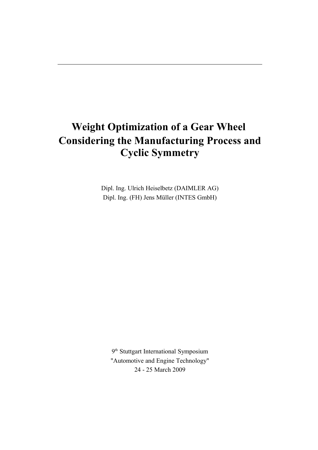# **Weight Optimization of a Gear Wheel Considering the Manufacturing Process and Cyclic Symmetry**

Dipl. Ing. Ulrich Heiselbetz (DAIMLER AG) Dipl. Ing. (FH) Jens Müller (INTES GmbH)

9<sup>th</sup> Stuttgart International Symposium "Automotive and Engine Technology" 24 - 25 March 2009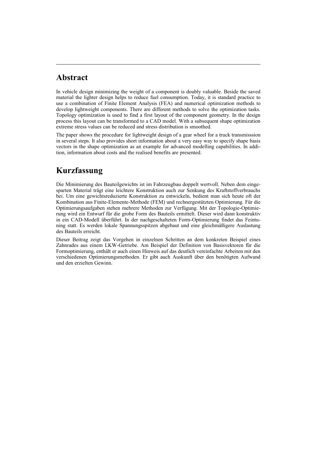## **Abstract**

In vehicle design minimizing the weight of a component is doubly valuable. Beside the saved material the lighter design helps to reduce fuel consumption. Today, it is standard practice to use a combination of Finite Element Analysis (FEA) and numerical optimization methods to develop lightweight components. There are different methods to solve the optimization tasks. Topology optimization is used to find a first layout of the component geometry. In the design process this layout can be transformed to a CAD model. With a subsequent shape optimization extreme stress values can be reduced and stress distribution is smoothed.

The paper shows the procedure for lightweight design of a gear wheel for a truck transmisssion in several steps. It also provides short information about a very easy way to specify shape basis vectors in the shape optimization as an example for advanced modelling capabilities. In addition, information about costs and the realised benefits are presented.

## **Kurzfassung**

Die Minimierung des Bauteilgewichts ist im Fahrzeugbau doppelt wertvoll. Neben dem eingesparten Material trägt eine leichtere Konstruktion auch zur Senkung des Kraftstoffverbrauchs bei. Um eine gewichtsreduzierte Konstruktion zu entwickeln, bedient man sich heute oft der Kombination aus Finite-Elemente-Methode (FEM) und rechnergestützten Optimierung. Für die Optimierungsaufgaben stehen mehrere Methoden zur Verfügung. Mit der Topologie-Optimierung wird ein Entwurf für die grobe Form des Bauteils ermittelt. Dieser wird dann konstruktiv in ein CAD-Modell überführt. In der nachgeschalteten Form-Optimierung findet das Feintuning statt. Es werden lokale Spannungsspitzen abgebaut und eine gleichmäßigere Auslastung des Bauteils erreicht.

Dieser Beitrag zeigt das Vorgehen in einzelnen Schritten an dem konkreten Beispiel eines Zahnrades aus einem LKW-Getriebe. Am Beispiel der Definition von Basisvektoren für die Formoptimierung, enthält er auch einen Hinweis auf das deutlich vereinfachte Arbeiten mit den verschiedenen Optimierungsmethoden. Er gibt auch Auskunft über den benötigten Aufwand und den erzielten Gewinn.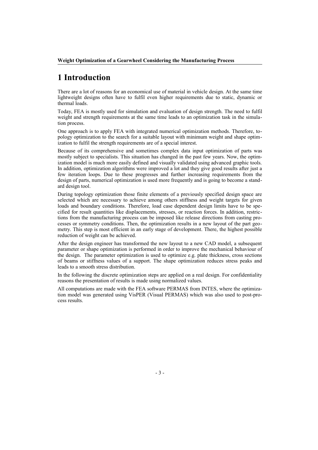## **1 Introduction**

There are a lot of reasons for an economical use of material in vehicle design. At the same time lightweight designs often have to fulfil even higher requirements due to static, dynamic or thermal loads.

Today, FEA is mostly used for simulation and evaluation of design strength. The need to fulfil weight and strength requirements at the same time leads to an optimization task in the simulation process.

One approach is to apply FEA with integrated numerical optimization methods. Therefore, topology optimization to the search for a suitable layout with minimum weight and shape optimization to fulfil the strength requirements are of a special interest.

Because of its comprehensive and sometimes complex data input optimization of parts was mostly subject to specialists. This situation has changed in the past few years. Now, the optimization model is much more easily defined and visually validated using advanced graphic tools. In addition, optimization algorithms were improved a lot and they give good results after just a few iteration loops. Due to these progresses and further increasing requirements from the design of parts, numerical optimization is used more frequently and is going to become a standard design tool.

During topology optimization those finite elements of a previously specified design space are selected which are necessary to achieve among others stiffness and weight targets for given loads and boundary conditions. Therefore, load case dependent design limits have to be specified for result quantities like displacements, stresses, or reaction forces. In addition, restrictions from the manufacturing process can be imposed like release directions from casting processes or symmetry conditions. Then, the optimization results in a new layout of the part geometry. This step is most efficient in an early stage of development. There, the highest possible reduction of weight can be achieved.

After the design engineer has transformed the new layout to a new CAD model, a subsequent parameter or shape optimization is performed in order to improve the mechanical behaviour of the design. The parameter optimization is used to optimize e.g. plate thickness, cross sections of beams or stiffness values of a support. The shape optimization reduces stress peaks and leads to a smooth stress distribution.

In the following the discrete optimization steps are applied on a real design. For confidentiality reasons the presentation of results is made using normalized values.

All computations are made with the FEA software PERMAS from INTES, where the optimization model was generated using VisPER (Visual PERMAS) which was also used to post-process results.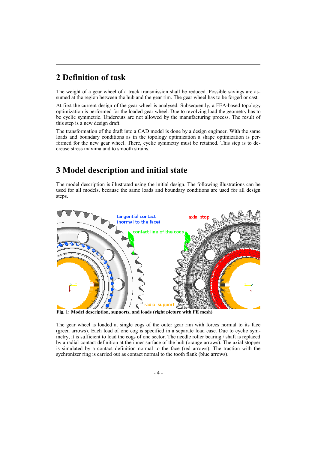## **2 Definition of task**

The weight of a gear wheel of a truck transmission shall be reduced. Possible savings are assumed at the region between the hub and the gear rim. The gear wheel has to be forged or cast.

At first the current design of the gear wheel is analysed. Subsequently, a FEA-based topology optimization is performed for the loaded gear wheel. Due to revolving load the geometry has to be cyclic symmetric. Undercuts are not allowed by the manufacturing process. The result of this step is a new design draft.

The transformation of the draft into a CAD model is done by a design engineer. With the same loads and boundary conditions as in the topology optimization a shape optimization is performed for the new gear wheel. There, cyclic symmetry must be retained. This step is to decrease stress maxima and to smooth strains.

## **3 Model description and initial state**

The model description is illustrated using the initial design. The following illustrations can be used for all models, because the same loads and boundary conditions are used for all design steps.



**Fig. 1: Model description, supports, and loads (right picture with FE mesh)**

The gear wheel is loaded at single cogs of the outer gear rim with forces normal to its face (green arrows). Each load of one cog is specified in a separate load case. Due to cyclic symmetry, it is sufficient to load the cogs of one sector. The needle roller bearing / shaft is replaced by a radial contact definition at the inner surface of the hub (orange arrows). The axial stopper is simulated by a contact definition normal to the face (red arrows). The traction with the sychronizer ring is carried out as contact normal to the tooth flank (blue arrows).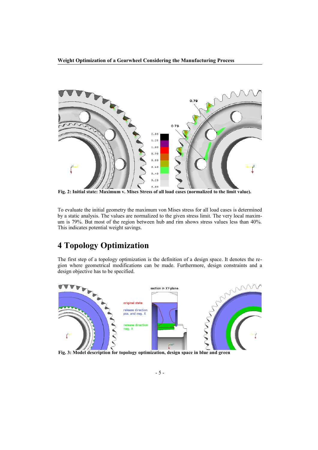**Weight Optimization of a Gearwheel Considering the Manufacturing Process**



**Fig. 2: Initial state: Maximum v. Mises Stress of all load cases (normalized to the limit value).**

To evaluate the initial geometry the maximum von Mises stress for all load cases is determined by a static analysis. The values are normalized to the given stress limit. The very local maximum is 79%. But most of the region between hub and rim shows stress values less than 40%. This indicates potential weight savings.

# **4 Topology Optimization**

The first step of a topology optimization is the definition of a design space. It denotes the region where geometrical modifications can be made. Furthermore, design constraints and a design objective has to be specified.



**Fig. 3: Model description for topology optimization, design space in blue and green**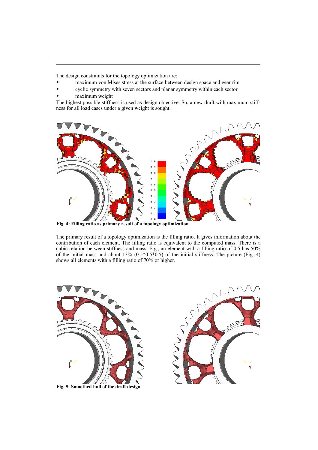The design constraints for the topology optimization are:

- maximum von Mises stress at the surface between design space and gear rim
- cyclic symmetry with seven sectors and planar symmetry within each sector
- maximum weight

The highest possible stiffness is used as design objective. So, a new draft with maximum stiffness for all load cases under a given weight is sought.



**Fig. 4: Filling ratio as primary result of a topology optimization.**

The primary result of a topology optimization is the filling ratio. It gives information about the contribution of each element. The filling ratio is equivalent to the computed mass. There is a cubic relation between stiffness and mass. E.g., an element with a filling ratio of 0.5 has 50% of the initial mass and about 13%  $(0.5*0.5*0.5)$  of the initial stiffness. The picture (Fig. 4) shows all elements with a filling ratio of 70% or higher.



**Fig. 5: Smoothed hull of the draft design**

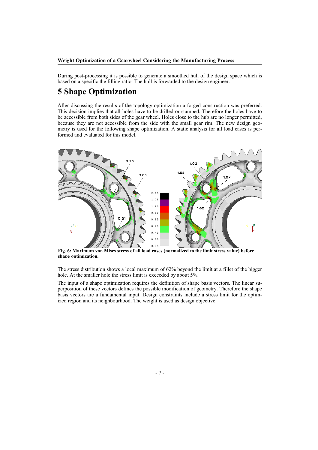During post-processing it is possible to generate a smoothed hull of the design space which is based on a specific the filling ratio. The hull is forwarded to the design engineer.

## **5 Shape Optimization**

After discussing the results of the topology optimization a forged construction was preferred. This decision implies that all holes have to be drilled or stamped. Therefore the holes have to be accessible from both sides of the gear wheel. Holes close to the hub are no longer permitted, because they are not accessible from the side with the small gear rim. The new design geometry is used for the following shape optimization. A static analysis for all load cases is performed and evaluated for this model.



**Fig. 6: Maximum von Mises stress of all load cases (normalized to the limit stress value) before shape optimization.**

The stress distribution shows a local maximum of 62% beyond the limit at a fillet of the bigger hole. At the smaller hole the stress limit is exceeded by about 5%.

The input of a shape optimization requires the definition of shape basis vectors. The linear superposition of these vectors defines the possible modification of geometry. Therefore the shape basis vectors are a fundamental input. Design constraints include a stress limit for the optimized region and its neighbourhood. The weight is used as design objective.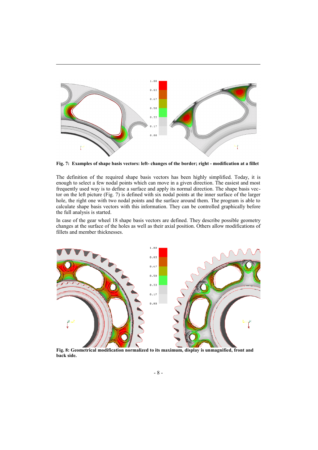

**Fig. 7: Examples of shape basis vectors: left- changes of the border; right - modification at a fillet**

The definition of the required shape basis vectors has been highly simplified. Today, it is enough to select a few nodal points which can move in a given direction. The easiest and most frequently used way is to define a surface and apply its normal direction. The shape basis vector on the left picture (Fig. 7) is defined with six nodal points at the inner surface of the larger hole, the right one with two nodal points and the surface around them. The program is able to calculate shape basis vectors with this information. They can be controlled graphically before the full analysis is started.

In case of the gear wheel 18 shape basis vectors are defined. They describe possible geometry changes at the surface of the holes as well as their axial position. Others allow modifications of fillets and member thicknesses.



**Fig. 8: Geometrical modification normalized to its maximum, display is unmagnified, front and back side.**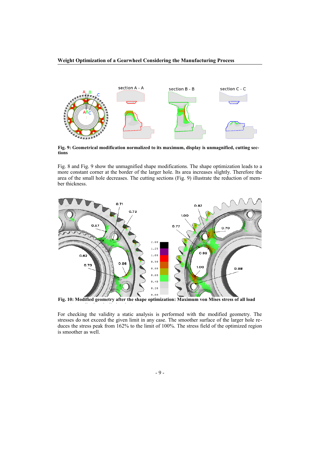**Weight Optimization of a Gearwheel Considering the Manufacturing Process**



**Fig. 9: Geometrical modification normalized to its maximum, display is unmagnified, cutting sections**

Fig. 8 and Fig. 9 show the unmagnified shape modifications. The shape optimization leads to a more constant corner at the border of the larger hole. Its area increases slightly. Therefore the area of the small hole decreases. The cutting sections (Fig. 9) illustrate the reduction of member thickness.



**Fig. 10: Modified geometry after the shape optimization: Maximum von Mises stress of all load**

**cases (normalized to the limit value).**

For checking the validity a static analysis is performed with the modified geometry. The stresses do not exceed the given limit in any case. The smoother surface of the larger hole reduces the stress peak from 162% to the limit of 100%. The stress field of the optimized region is smoother as well.